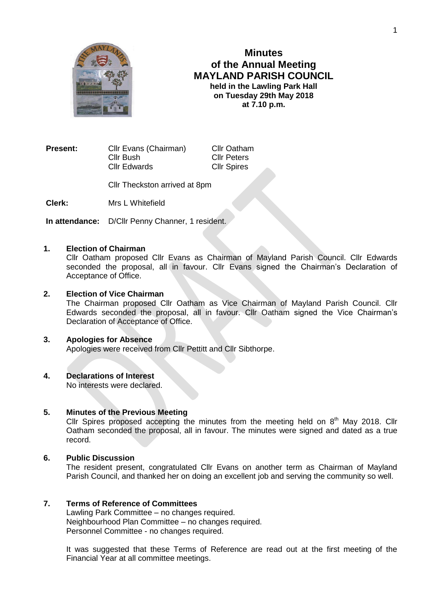

# **Minutes of the Annual Meeting MAYLAND PARISH COUNCIL held in the Lawling Park Hall on Tuesday 29th May 2018 at 7.10 p.m.**

**Present:** Cllr Evans (Chairman) Cllr Oatham Cllr Bush Cllr Peters Cllr Edwards Cllr Spires

Cllr Theckston arrived at 8pm

**Clerk:** Mrs L Whitefield

**In attendance:** D/Cllr Penny Channer, 1 resident.

# **1. Election of Chairman**

Cllr Oatham proposed Cllr Evans as Chairman of Mayland Parish Council. Cllr Edwards seconded the proposal, all in favour. Cllr Evans signed the Chairman's Declaration of Acceptance of Office.

# **2. Election of Vice Chairman**

The Chairman proposed Cllr Oatham as Vice Chairman of Mayland Parish Council. Cllr Edwards seconded the proposal, all in favour. Cllr Oatham signed the Vice Chairman's Declaration of Acceptance of Office.

### **3. Apologies for Absence**

Apologies were received from Cllr Pettitt and Cllr Sibthorpe.

# **4. Declarations of Interest**

No interests were declared.

# **5. Minutes of the Previous Meeting**

Cllr Spires proposed accepting the minutes from the meeting held on  $8<sup>th</sup>$  May 2018. Cllr Oatham seconded the proposal, all in favour. The minutes were signed and dated as a true record.

# **6. Public Discussion**

The resident present, congratulated Cllr Evans on another term as Chairman of Mayland Parish Council, and thanked her on doing an excellent job and serving the community so well.

### **7. Terms of Reference of Committees**

Lawling Park Committee – no changes required. Neighbourhood Plan Committee – no changes required. Personnel Committee - no changes required.

It was suggested that these Terms of Reference are read out at the first meeting of the Financial Year at all committee meetings.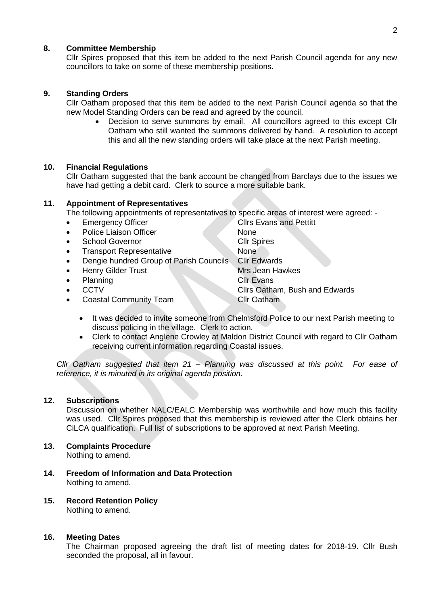# **8. Committee Membership**

Cllr Spires proposed that this item be added to the next Parish Council agenda for any new councillors to take on some of these membership positions.

# **9. Standing Orders**

Cllr Oatham proposed that this item be added to the next Parish Council agenda so that the new Model Standing Orders can be read and agreed by the council.

 Decision to serve summons by email. All councillors agreed to this except Cllr Oatham who still wanted the summons delivered by hand. A resolution to accept this and all the new standing orders will take place at the next Parish meeting.

### **10. Financial Regulations**

Cllr Oatham suggested that the bank account be changed from Barclays due to the issues we have had getting a debit card. Clerk to source a more suitable bank.

# **11. Appointment of Representatives**

The following appointments of representatives to specific areas of interest were agreed: -

- Emergency Officer Clirs Evans and Pettitt
- Police Liaison Officer None
- School Governor Cllr Spires
- Transport Representative None
- Dengie hundred Group of Parish Councils Cllr Edwards
- Henry Gilder Trust Mrs Jean Hawkes
- Planning Clir Evans
- 
- **Coastal Community Team Cllr Oatham**

**CCTV** CLIPS Oatham, Bush and Edwards

- It was decided to invite someone from Chelmsford Police to our next Parish meeting to discuss policing in the village. Clerk to action.
- Clerk to contact Anglene Crowley at Maldon District Council with regard to Cllr Oatham receiving current information regarding Coastal issues.

*Cllr Oatham suggested that item 21 – Planning was discussed at this point. For ease of reference, it is minuted in its original agenda position.*

### **12. Subscriptions**

Discussion on whether NALC/EALC Membership was worthwhile and how much this facility was used. Cllr Spires proposed that this membership is reviewed after the Clerk obtains her CiLCA qualification. Full list of subscriptions to be approved at next Parish Meeting.

- **13. Complaints Procedure** Nothing to amend.
- **14. Freedom of Information and Data Protection** Nothing to amend.
- **15. Record Retention Policy** Nothing to amend.

# **16. Meeting Dates**

The Chairman proposed agreeing the draft list of meeting dates for 2018-19. Cllr Bush seconded the proposal, all in favour.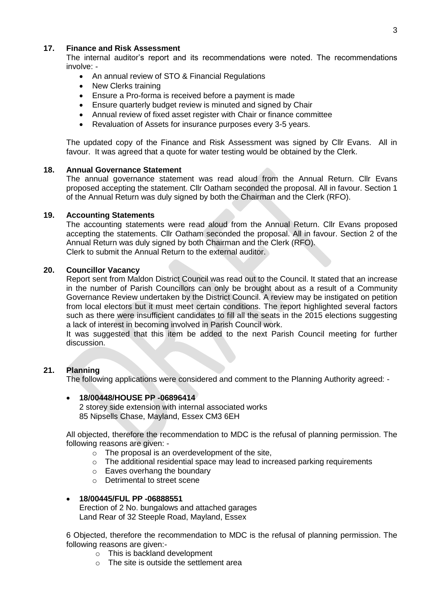# **17. Finance and Risk Assessment**

The internal auditor's report and its recommendations were noted. The recommendations involve: -

- An annual review of STO & Financial Regulations
- New Clerks training
- Ensure a Pro-forma is received before a payment is made
- Ensure quarterly budget review is minuted and signed by Chair
- Annual review of fixed asset register with Chair or finance committee
- Revaluation of Assets for insurance purposes every 3-5 years.

The updated copy of the Finance and Risk Assessment was signed by Cllr Evans. All in favour. It was agreed that a quote for water testing would be obtained by the Clerk.

### **18. Annual Governance Statement**

The annual governance statement was read aloud from the Annual Return. Cllr Evans proposed accepting the statement. Cllr Oatham seconded the proposal. All in favour. Section 1 of the Annual Return was duly signed by both the Chairman and the Clerk (RFO).

#### **19. Accounting Statements**

The accounting statements were read aloud from the Annual Return. Cllr Evans proposed accepting the statements. Cllr Oatham seconded the proposal. All in favour. Section 2 of the Annual Return was duly signed by both Chairman and the Clerk (RFO). Clerk to submit the Annual Return to the external auditor.

#### **20. Councillor Vacancy**

Report sent from Maldon District Council was read out to the Council. It stated that an increase in the number of Parish Councillors can only be brought about as a result of a Community Governance Review undertaken by the District Council. A review may be instigated on petition from local electors but it must meet certain conditions. The report highlighted several factors such as there were insufficient candidates to fill all the seats in the 2015 elections suggesting a lack of interest in becoming involved in Parish Council work.

It was suggested that this item be added to the next Parish Council meeting for further discussion.

# **21. Planning**

The following applications were considered and comment to the Planning Authority agreed: -

### **18/00448/HOUSE PP -06896414**

2 storey side extension with internal associated works 85 Nipsells Chase, Mayland, Essex CM3 6EH

All objected, therefore the recommendation to MDC is the refusal of planning permission. The following reasons are given: -

- o The proposal is an overdevelopment of the site,
- $\circ$  The additional residential space may lead to increased parking requirements
- o Eaves overhang the boundary
- o Detrimental to street scene

### **18/00445/FUL PP -06888551**

Erection of 2 No. bungalows and attached garages Land Rear of 32 Steeple Road, Mayland, Essex

6 Objected, therefore the recommendation to MDC is the refusal of planning permission. The following reasons are given:-

- $\overline{\circ}$  This is backland development
- $\circ$  The site is outside the settlement area